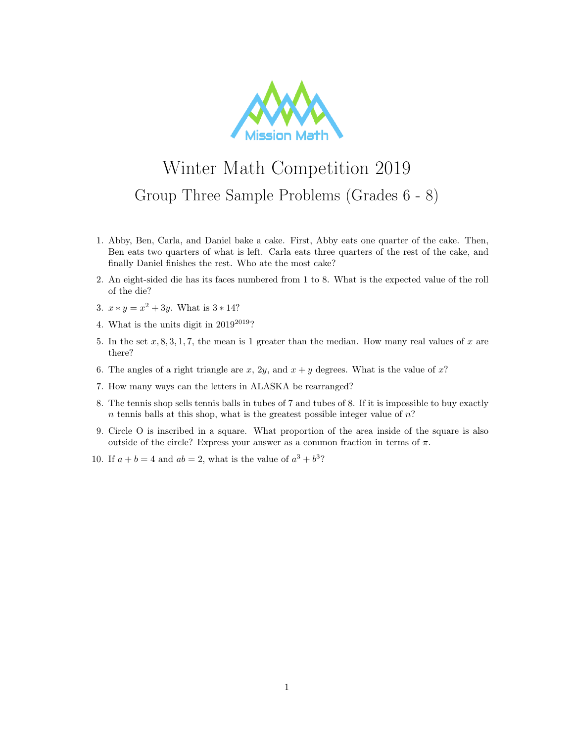

## Winter Math Competition 2019 Group Three Sample Problems (Grades 6 - 8)

- 1. Abby, Ben, Carla, and Daniel bake a cake. First, Abby eats one quarter of the cake. Then, Ben eats two quarters of what is left. Carla eats three quarters of the rest of the cake, and finally Daniel finishes the rest. Who ate the most cake?
- 2. An eight-sided die has its faces numbered from 1 to 8. What is the expected value of the roll of the die?
- 3.  $x * y = x^2 + 3y$ . What is  $3 * 14$ ?
- 4. What is the units digit in  $2019^{2019}$ ?
- 5. In the set  $x, 8, 3, 1, 7$ , the mean is 1 greater than the median. How many real values of x are there?
- 6. The angles of a right triangle are x, 2y, and  $x + y$  degrees. What is the value of x?
- 7. How many ways can the letters in ALASKA be rearranged?
- 8. The tennis shop sells tennis balls in tubes of 7 and tubes of 8. If it is impossible to buy exactly  $n$  tennis balls at this shop, what is the greatest possible integer value of  $n$ ?
- 9. Circle O is inscribed in a square. What proportion of the area inside of the square is also outside of the circle? Express your answer as a common fraction in terms of  $\pi$ .
- 10. If  $a + b = 4$  and  $ab = 2$ , what is the value of  $a^3 + b^3$ ?